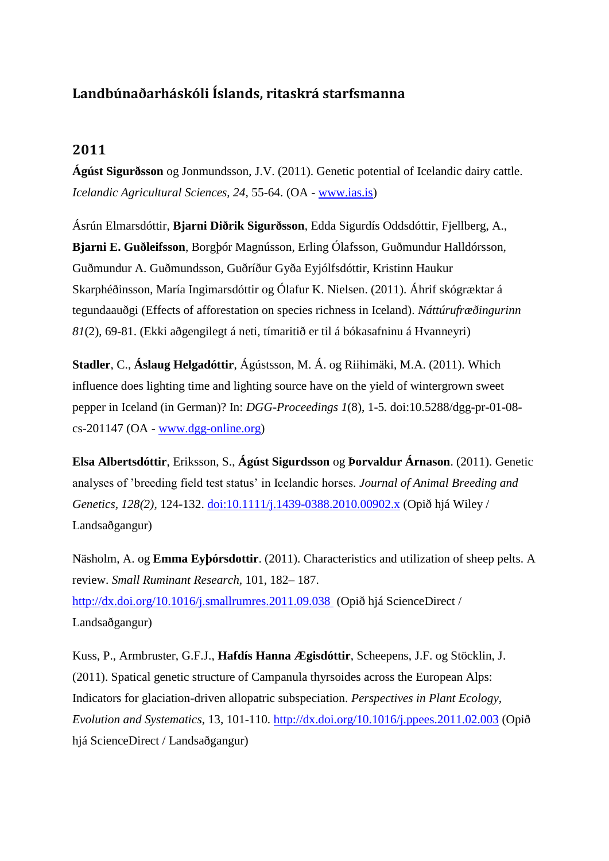## **Landbúnaðarháskóli Íslands, ritaskrá starfsmanna**

## **2011**

**Ágúst Sigurðsson** og Jonmundsson, J.V. (2011). Genetic potential of Icelandic dairy cattle. *Icelandic Agricultural Sciences, 24*, 55-64. (OA - [www.ias.is\)](http://www.ias.is/landbunadur/wgsamvef.nsf/Attachment/Agust%20Sigurdsson%20et%20al%202011%20IAS/$file/Agust%20Sigurdsson%20et%20al%202011%20IAS.pdf)

Ásrún Elmarsdóttir, **Bjarni Diðrik Sigurðsson**, Edda Sigurdís Oddsdóttir, Fjellberg, A., **Bjarni E. Guðleifsson**, Borgþór Magnússon, Erling Ólafsson, Guðmundur Halldórsson, Guðmundur A. Guðmundsson, Guðríður Gyða Eyjólfsdóttir, Kristinn Haukur Skarphéðinsson, María Ingimarsdóttir og Ólafur K. Nielsen. (2011). Áhrif skógræktar á tegundaauðgi (Effects of afforestation on species richness in Iceland). *Náttúrufræðingurinn 81*(2), 69-81. (Ekki aðgengilegt á neti, tímaritið er til á bókasafninu á Hvanneyri)

**Stadler**, C., **Áslaug Helgadóttir**, Ágústsson, M. Á. og Riihimäki, M.A. (2011). Which influence does lighting time and lighting source have on the yield of wintergrown sweet pepper in Iceland (in German)? In: *DGG-Proceedings 1*(8), 1-5*.* doi:10.5288/dgg-pr-01-08  $cs-201147$  (OA - [www.dgg-online.org\)](http://www.dgg-online.org/proceedings/vol-01-2011/dgg-pr-01-08-cs-2011.pdf)

**Elsa Albertsdóttir**, Eriksson, S., **Ágúst Sigurdsson** og **Þorvaldur Árnason**. (2011). Genetic analyses of 'breeding field test status' in Icelandic horses. *Journal of Animal Breeding and Genetics, 128(2),* 124-132. [doi:10.1111/j.1439-0388.2010.00902.x](http://onlinelibrary.wiley.com/doi/10.1111/j.1439-0388.2010.00902.x/pdf) (Opið hjá Wiley / Landsaðgangur)

Näsholm, A. og **Emma Eyþórsdottir**. (2011). Characteristics and utilization of sheep pelts. A review. *Small Ruminant Research,* 101, 182– 187. [http://dx.doi.org/10.1016/j.smallrumres.2011.09.038](http://ac.els-cdn.com/S0921448811003877/1-s2.0-S0921448811003877-main.pdf?_tid=3e83417e-4bad-11e3-8017-00000aacb361&acdnat=1384269500_73866661844a8808028eaf9861cdd200) (Opið hjá ScienceDirect / Landsaðgangur)

Kuss, P., Armbruster, G.F.J., **Hafdís Hanna Ægisdóttir**, Scheepens, J.F. og Stöcklin, J. (2011). Spatical genetic structure of Campanula thyrsoides across the European Alps: Indicators for glaciation-driven allopatric subspeciation. *Perspectives in Plant Ecology, Evolution and Systematics*, 13, 101-110. [http://dx.doi.org/10.1016/j.ppees.2011.02.003](http://ac.els-cdn.com/S1433831911000126/1-s2.0-S1433831911000126-main.pdf?_tid=7fea486a-4bad-11e3-8849-00000aacb362&acdnat=1384269610_46ebdcfc0b109ec5a7a8168540edc9b8) (Opið hjá ScienceDirect / Landsaðgangur)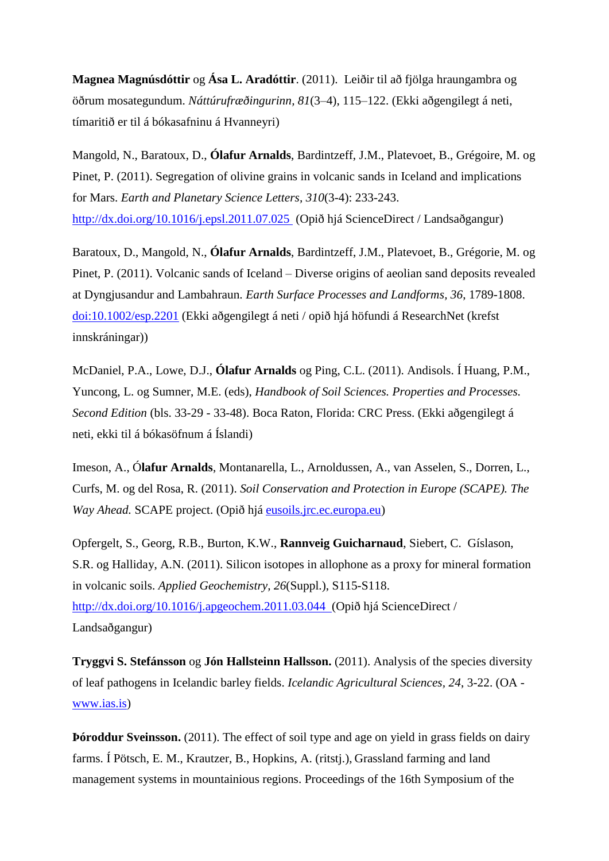**Magnea Magnúsdóttir** og **Ása L. Aradóttir**. (2011). Leiðir til að fjölga hraungambra og öðrum mosategundum. *Náttúrufræðingurinn, 81*(3–4), 115–122. (Ekki aðgengilegt á neti, tímaritið er til á bókasafninu á Hvanneyri)

Mangold, N., Baratoux, D., **Ólafur Arnalds**, Bardintzeff, J.M., Platevoet, B., Grégoire, M. og Pinet, P. (2011). Segregation of olivine grains in volcanic sands in Iceland and implications for Mars. *Earth and Planetary Science Letters, 310*(3-4): 233-243. [http://dx.doi.org/10.1016/j.epsl.2011.07.025](http://ac.els-cdn.com/S0012821X11004419/1-s2.0-S0012821X11004419-main.pdf?_tid=c57a32aa-4bad-11e3-8308-00000aab0f26&acdnat=1384269726_f6f00314c0f3668b0c5a602d790cd11e) (Opið hjá ScienceDirect / Landsaðgangur)

Baratoux, D., Mangold, N., **Ólafur Arnalds**, Bardintzeff, J.M., Platevoet, B., Grégorie, M. og Pinet, P. (2011). Volcanic sands of Iceland – Diverse origins of aeolian sand deposits revealed at Dyngjusandur and Lambahraun. *Earth Surface Processes and Landforms, 36*, 1789-1808. [doi:10.1002/esp.2201](http://onlinelibrary.wiley.com/doi/10.1002/esp.2201/full) (Ekki aðgengilegt á neti / opið hjá höfundi á ResearchNet (krefst innskráningar))

McDaniel, P.A., Lowe, D.J., **Ólafur Arnalds** og Ping, C.L. (2011). Andisols. Í Huang, P.M., Yuncong, L. og Sumner, M.E. (eds), *Handbook of Soil Sciences. Properties and Processes. Second Edition* (bls. 33-29 - 33-48). Boca Raton, Florida: CRC Press. (Ekki aðgengilegt á neti, ekki til á bókasöfnum á Íslandi)

Imeson, A., Ó**lafur Arnalds**, Montanarella, L., Arnoldussen, A., van Asselen, S., Dorren, L., Curfs, M. og del Rosa, R. (2011). *Soil Conservation and Protection in Europe (SCAPE). The Way Ahead.* SCAPE project. (Opið hjá [eusoils.jrc.ec.europa.eu\)](http://eusoils.jrc.ec.europa.eu/esdb_archive/eusoils_docs/other/SCAPEbook.pdf)

Opfergelt, S., Georg, R.B., Burton, K.W., **Rannveig Guicharnaud**, Siebert, C. Gíslason, S.R. og Halliday, A.N. (2011). Silicon isotopes in allophone as a proxy for mineral formation in volcanic soils. *Applied Geochemistry, 26*(Suppl.), S115-S118. [http://dx.doi.org/10.1016/j.apgeochem.2011.03.044 \(](http://ac.els-cdn.com/S0883292711001235/1-s2.0-S0883292711001235-main.pdf?_tid=6420ab64-4bae-11e3-9813-00000aacb361&acdnat=1384269993_70e1aa7828f1e794691bcd9e52d4acb2)Opið hjá ScienceDirect / Landsaðgangur)

**Tryggvi S. Stefánsson** og **Jón Hallsteinn Hallsson.** (2011). Analysis of the species diversity of leaf pathogens in Icelandic barley fields. *Icelandic Agricultural Sciences, 24*, 3-22. (OA [www.ias.is\)](http://www.ias.is/landbunadur/wgsamvef.nsf/Attachment/Tryggvi%20S%20Stefansson%20et%20al%202011%20IAS/$file/Tryggvi%20S%20Stefansson%20et%20al%202011%20IAS.pdf)

**Þóroddur Sveinsson.** (2011). The effect of soil type and age on yield in grass fields on dairy farms. Í Pötsch, E. M., Krautzer, B., Hopkins, A. (ritstj.), Grassland farming and land management systems in mountainious regions. Proceedings of the 16th Symposium of the